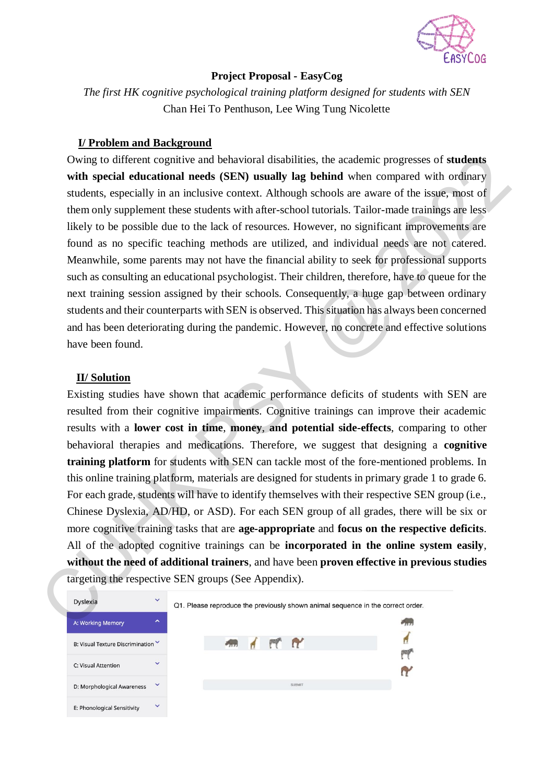

## **Project Proposal - EasyCog**

*The first HK cognitive psychological training platform designed for students with SEN* Chan Hei To Penthuson, Lee Wing Tung Nicolette

### **I/ Problem and Background**

Owing to different cognitive and behavioral disabilities, the academic progresses of **students with special educational needs (SEN) usually lag behind** when compared with ordinary students, especially in an inclusive context. Although schools are aware of the issue, most of them only supplement these students with after-school tutorials. Tailor-made trainings are less likely to be possible due to the lack of resources. However, no significant improvements are found as no specific teaching methods are utilized, and individual needs are not catered. Meanwhile, some parents may not have the financial ability to seek for professional supports such as consulting an educational psychologist. Their children, therefore, have to queue for the next training session assigned by their schools. Consequently, a huge gap between ordinary students and their counterparts with SEN is observed. This situation has always been concerned and has been deteriorating during the pandemic. However, no concrete and effective solutions have been found.

#### **II/ Solution**

Existing studies have shown that academic performance deficits of students with SEN are resulted from their cognitive impairments. Cognitive trainings can improve their academic results with a **lower cost in time**, **money**, **and potential side-effects**, comparing to other behavioral therapies and medications. Therefore, we suggest that designing a **cognitive training platform** for students with SEN can tackle most of the fore-mentioned problems. In this online training platform, materials are designed for students in primary grade 1 to grade 6. For each grade, students will have to identify themselves with their respective SEN group (i.e., Chinese Dyslexia, AD/HD, or ASD). For each SEN group of all grades, there will be six or more cognitive training tasks that are **age-appropriate** and **focus on the respective deficits**. All of the adopted cognitive trainings can be **incorporated in the online system easily**, **without the need of additional trainers**, and have been **proven effective in previous studies** targeting the respective SEN groups (See Appendix). Owing to different cognitive and behavioral disabilities, the academic progresses of students<br>with special cluentational needs (SEN) usadly lag behind when compared with originary<br>students, especially in an inclusive cont

| Dyslexia                         | $\checkmark$           | Q1. Please reproduce the previously shown animal sequence in the correct order. |  |  |  |  |  |
|----------------------------------|------------------------|---------------------------------------------------------------------------------|--|--|--|--|--|
| A: Working Memory                | $\boldsymbol{\lambda}$ |                                                                                 |  |  |  |  |  |
| B: Visual Texture Discrimination |                        | FT RY<br>рψ                                                                     |  |  |  |  |  |
| C: Visual Attention              | $\checkmark$           |                                                                                 |  |  |  |  |  |
| D: Morphological Awareness       | ▽                      | <b>SUBMIT</b>                                                                   |  |  |  |  |  |
| E: Phonological Sensitivity      | $\checkmark$           |                                                                                 |  |  |  |  |  |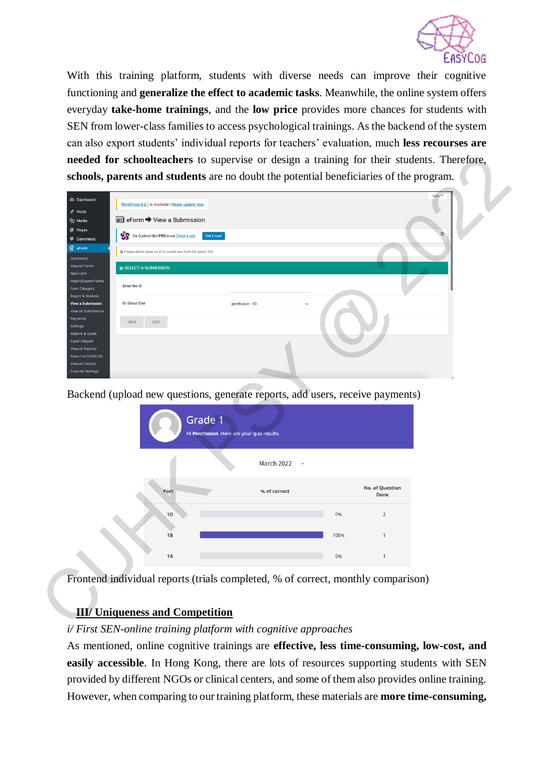

With this training platform, students with diverse needs can improve their cognitive functioning and **generalize the effect to academic tasks**. Meanwhile, the online system offers everyday **take-home trainings**, and the **low price** provides more chances for students with SEN from lower-class families to access psychological trainings. As the backend of the system can also export students' individual reports for teachers' evaluation, much **less recourses are needed for schoolteachers** to supervise or design a training for their students. Therefore, **schools, parents and students** are no doubt the potential beneficiaries of the program.

| Posts                                                | WordPress 5.9.1 is available! Please update now                               |                                           |              |      |                         | Help > |
|------------------------------------------------------|-------------------------------------------------------------------------------|-------------------------------------------|--------------|------|-------------------------|--------|
| <b>乌</b> ] Media                                     | <b>E</b> eForm → View a Submission                                            |                                           |              |      |                         |        |
| Pages<br>8<br>Comments                               | Ele Custom Skin PRO is out Check it out!.                                     | Get it now!                               |              |      |                         |        |
| C eForm<br>Dashboard                                 | A Please either enter an ID or select one from the latest 100                 |                                           |              |      |                         |        |
| View all Forms<br>New Form                           | <b>E</b> SELECT A SUBMISSION                                                  |                                           |              |      |                         |        |
| Import/Export Forms<br>Enter the ID<br>Form Category |                                                                               |                                           |              |      |                         |        |
| Report & Analysis<br><b>View a Submission</b>        | Or Select One                                                                 | penthuson - 1D                            |              |      |                         |        |
| View all Submission<br>Payments<br>VIEW<br>Settings  | EDIT                                                                          |                                           |              |      |                         |        |
| Addons & Guide<br><b>Export Report</b>               |                                                                               |                                           |              |      |                         |        |
| View all Report:<br><b>Export to CSV/XLSX</b>        |                                                                               |                                           |              |      |                         |        |
| View all Exports<br><b>Exporter Settings</b>         |                                                                               |                                           |              |      |                         |        |
|                                                      |                                                                               |                                           |              |      |                         |        |
|                                                      | Backend (upload new questions, generate reports, add users, receive payments) |                                           |              |      |                         |        |
|                                                      |                                                                               |                                           |              |      |                         |        |
|                                                      |                                                                               | Grade 1                                   |              |      |                         |        |
|                                                      |                                                                               | Hi Penthuson. Here are your quiz results. |              |      |                         |        |
|                                                      |                                                                               |                                           |              |      |                         |        |
|                                                      |                                                                               |                                           | March 2022   |      |                         |        |
|                                                      | Part                                                                          |                                           | % of correct |      | No. of Question<br>Done |        |
|                                                      | 1D                                                                            |                                           |              | 0%   | $\overline{2}$          |        |
|                                                      | 1B                                                                            |                                           |              | 100% | $\mathbf{1}$            |        |
|                                                      |                                                                               |                                           |              |      |                         |        |
|                                                      | 1A                                                                            |                                           |              | 0%   | $\mathbf{1}$            |        |



## **III/ Uniqueness and Competition**

#### *i/ First SEN-online training platform with cognitive approaches*

As mentioned, online cognitive trainings are **effective, less time-consuming, low-cost, and easily accessible**. In Hong Kong, there are lots of resources supporting students with SEN provided by different NGOs or clinical centers, and some of them also provides online training. However, when comparing to our training platform, these materials are **more time-consuming,**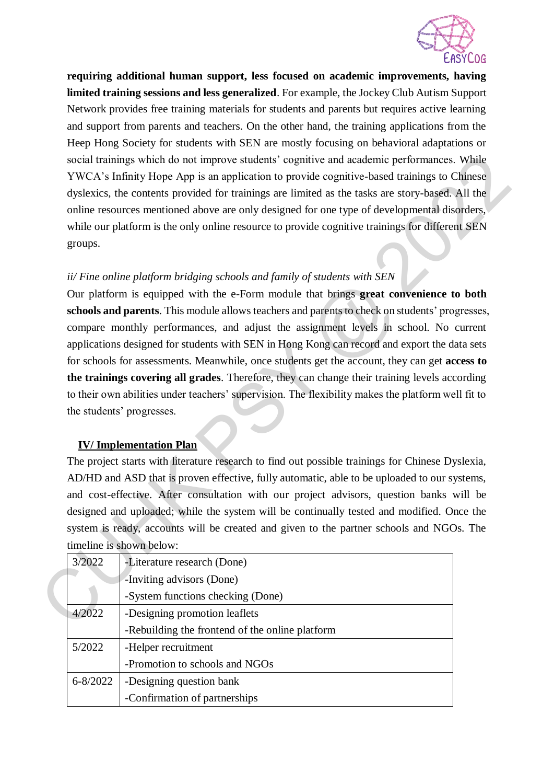

**requiring additional human support, less focused on academic improvements, having limited training sessions and less generalized**. For example, the Jockey Club Autism Support Network provides free training materials for students and parents but requires active learning and support from parents and teachers. On the other hand, the training applications from the Heep Hong Society for students with SEN are mostly focusing on behavioral adaptations or social trainings which do not improve students' cognitive and academic performances. While YWCA's Infinity Hope App is an application to provide cognitive-based trainings to Chinese dyslexics, the contents provided for trainings are limited as the tasks are story-based. All the online resources mentioned above are only designed for one type of developmental disorders, while our platform is the only online resource to provide cognitive trainings for different SEN groups.

# *ii/ Fine online platform bridging schools and family of students with SEN*

Our platform is equipped with the e-Form module that brings **great convenience to both schools and parents**. This module allows teachers and parents to check on students' progresses, compare monthly performances, and adjust the assignment levels in school. No current applications designed for students with SEN in Hong Kong can record and export the data sets for schools for assessments. Meanwhile, once students get the account, they can get **access to the trainings covering all grades**. Therefore, they can change their training levels according to their own abilities under teachers' supervision. The flexibility makes the platform well fit to the students' progresses. social trainings which do not improve students' cognitive and academic performances. While<br>VCA's trifinity Here App is an application to provide cognitive shot arising is to Chinese<br>Westex, the contents provided for train

## **IV/ Implementation Plan**

The project starts with literature research to find out possible trainings for Chinese Dyslexia, AD/HD and ASD that is proven effective, fully automatic, able to be uploaded to our systems, and cost-effective. After consultation with our project advisors, question banks will be designed and uploaded; while the system will be continually tested and modified. Once the system is ready, accounts will be created and given to the partner schools and NGOs. The timeline is shown below:

| 3/2022       | -Literature research (Done)                     |  |
|--------------|-------------------------------------------------|--|
|              | -Inviting advisors (Done)                       |  |
|              | -System functions checking (Done)               |  |
| 4/2022       | -Designing promotion leaflets                   |  |
|              | -Rebuilding the frontend of the online platform |  |
| 5/2022       | -Helper recruitment                             |  |
|              | -Promotion to schools and NGOs                  |  |
| $6 - 8/2022$ | -Designing question bank                        |  |
|              | -Confirmation of partnerships                   |  |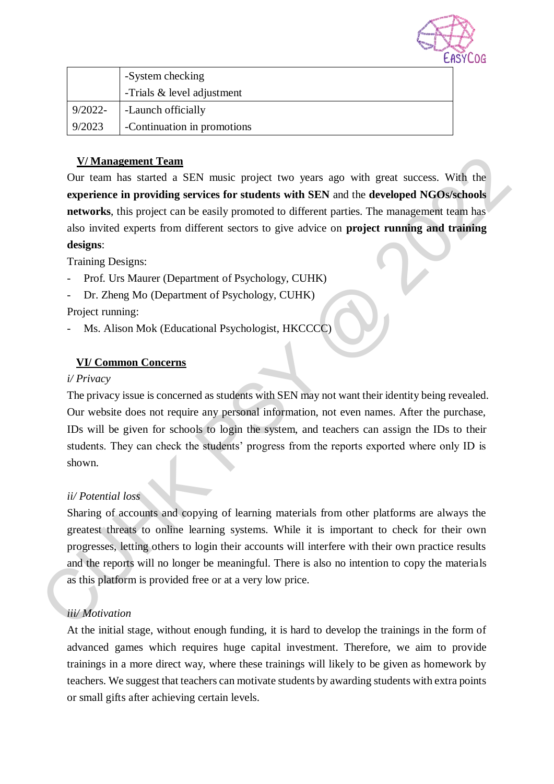

|            | -System checking            |
|------------|-----------------------------|
|            | -Trials & level adjustment  |
| $9/2022 -$ | -Launch officially          |
| 9/2023     | -Continuation in promotions |

## **V/ Management Team**

Our team has started a SEN music project two years ago with great success. With the **experience in providing services for students with SEN** and the **developed NGOs/schools networks**, this project can be easily promoted to different parties. The management team has also invited experts from different sectors to give advice on **project running and training designs**: **V/Management Team**<br>
Our team has started a SEN music project two years ugo with great success. With the<br>
opertience in providing services for students with SEN and the developed NGOs/Schools<br>
networks, this project can b

Training Designs:

- Prof. Urs Maurer (Department of Psychology, CUHK)
- Dr. Zheng Mo (Department of Psychology, CUHK)

Project running:

Ms. Alison Mok (Educational Psychologist, HKCCCC)

# **VI/ Common Concerns**

#### *i/ Privacy*

The privacy issue is concerned as students with SEN may not want their identity being revealed. Our website does not require any personal information, not even names. After the purchase, IDs will be given for schools to login the system, and teachers can assign the IDs to their students. They can check the students' progress from the reports exported where only ID is shown.

## *ii/ Potential loss*

Sharing of accounts and copying of learning materials from other platforms are always the greatest threats to online learning systems. While it is important to check for their own progresses, letting others to login their accounts will interfere with their own practice results and the reports will no longer be meaningful. There is also no intention to copy the materials as this platform is provided free or at a very low price.

## *iii/ Motivation*

At the initial stage, without enough funding, it is hard to develop the trainings in the form of advanced games which requires huge capital investment. Therefore, we aim to provide trainings in a more direct way, where these trainings will likely to be given as homework by teachers. We suggest that teachers can motivate students by awarding students with extra points or small gifts after achieving certain levels.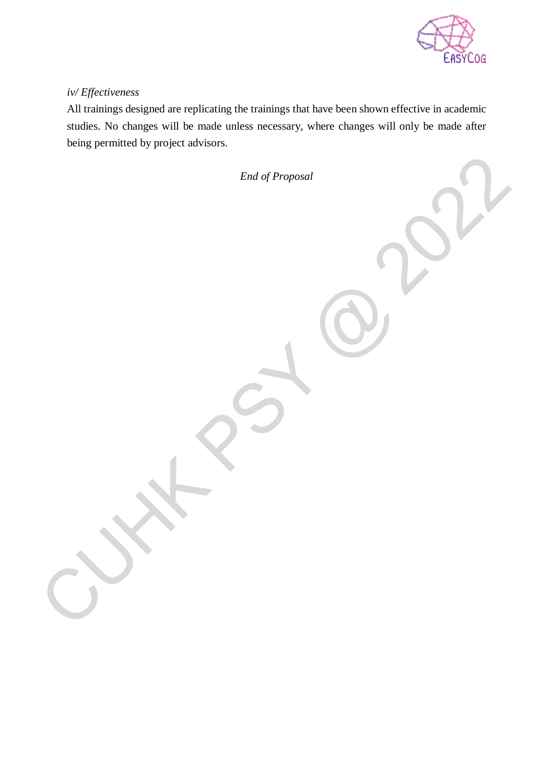

## *iv/ Effectiveness*

All trainings designed are replicating the trainings that have been shown effective in academic studies. No changes will be made unless necessary, where changes will only be made after being permitted by project advisors.

*End of Proposal* CUY N PSY @ 2022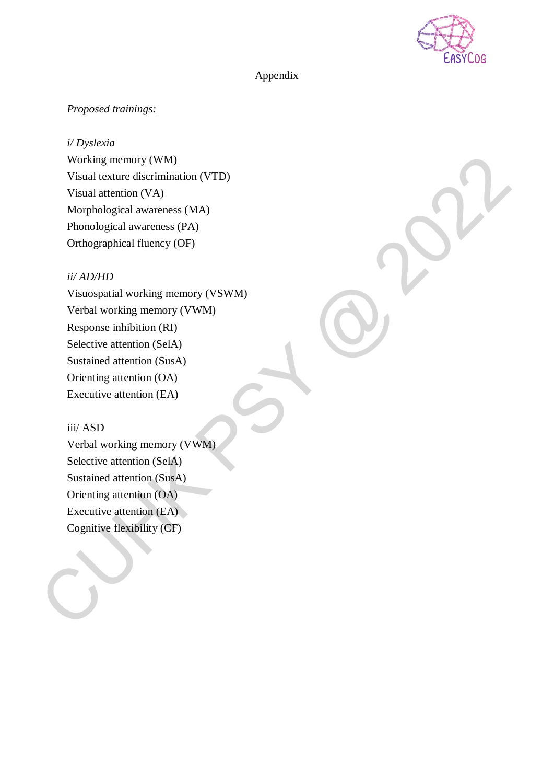

### Appendix

## *Proposed trainings:*

*i/ Dyslexia*

Working memory (WM) Visual texture discrimination (VTD) Visual attention (VA) Morphological awareness (MA) Phonological awareness (PA) Orthographical fluency (OF)

### *ii/ AD/HD*

Visuospatial working memory (VSWM) Verbal working memory (VWM) Response inhibition (RI) Selective attention (SelA) Sustained attention (SusA) Orienting attention (OA) Executive attention (EA) Working memory (WM)<br>
Visual attention (VA)<br>
Visual attention (VA)<br>
Visual attention (VA)<br>
Morphological awareness (PA)<br>
Phonological awareness (PA)<br>
Orthographical fluency (OF)<br>
( $ii$  AD/HD<br>
Visuospatial storking memory (VS

# iii/ ASD

Verbal working memory (VWM) Selective attention (SelA) Sustained attention (SusA) Orienting attention (OA) Executive attention (EA) Cognitive flexibility (CF)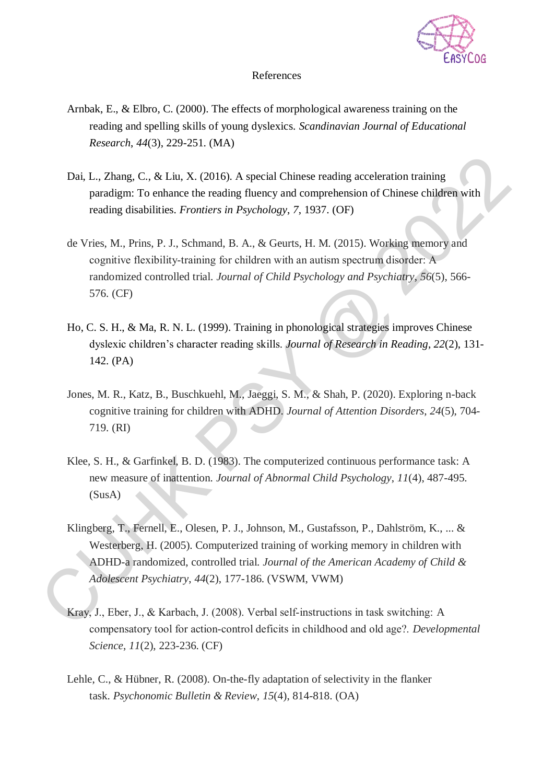

#### References

- Arnbak, E., & Elbro, C. (2000). The effects of morphological awareness training on the reading and spelling skills of young dyslexics. *Scandinavian Journal of Educational Research*, *44*(3), 229-251. (MA)
- Dai, L., Zhang, C., & Liu, X. (2016). A special Chinese reading acceleration training paradigm: To enhance the reading fluency and comprehension of Chinese children with reading disabilities. *Frontiers in Psychology*, *7*, 1937. (OF)
- de Vries, M., Prins, P. J., Schmand, B. A., & Geurts, H. M. (2015). Working memory and cognitive flexibility‐training for children with an autism spectrum disorder: A randomized controlled trial. *Journal of Child Psychology and Psychiatry*, *56*(5), 566- 576. (CF) **Dai, I., Zhang, C., & Liu, X.** (2016). A special Chinese reading acceleration training<br>paradigm: To enhance the reading fluency and comprehension of Chinese children with<br>reading disabilities. *Fromters in Psychology*, 7
	- Ho, C. S. H., & Ma, R. N. L. (1999). Training in phonological strategies improves Chinese dyslexic children's character reading skills. *Journal of Research in Reading*, *22*(2), 131- 142. (PA)
	- Jones, M. R., Katz, B., Buschkuehl, M., Jaeggi, S. M., & Shah, P. (2020). Exploring n-back cognitive training for children with ADHD. *Journal of Attention Disorders*, *24*(5), 704- 719. (RI)
	- Klee, S. H., & Garfinkel, B. D. (1983). The computerized continuous performance task: A new measure of inattention. *Journal of Abnormal Child Psychology*, *11*(4), 487-495. (SusA)
	- Klingberg, T., Fernell, E., Olesen, P. J., Johnson, M., Gustafsson, P., Dahlström, K., ... & Westerberg, H. (2005). Computerized training of working memory in children with ADHD-a randomized, controlled trial. *Journal of the American Academy of Child & Adolescent Psychiatry*, *44*(2), 177-186. (VSWM, VWM)
	- Kray, J., Eber, J., & Karbach, J. (2008). Verbal self‐instructions in task switching: A compensatory tool for action‐control deficits in childhood and old age?. *Developmental Science*, *11*(2), 223-236. (CF)
	- Lehle, C., & Hübner, R. (2008). On-the-fly adaptation of selectivity in the flanker task. *Psychonomic Bulletin & Review*, *15*(4), 814-818. (OA)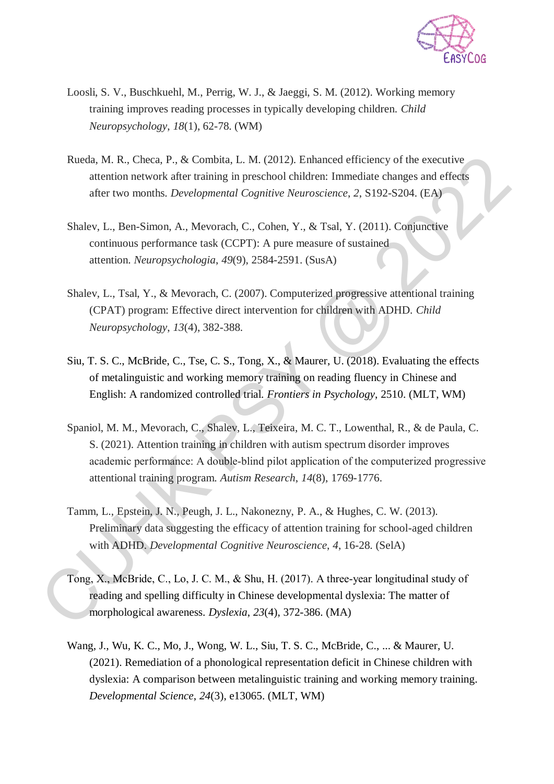

- Loosli, S. V., Buschkuehl, M., Perrig, W. J., & Jaeggi, S. M. (2012). Working memory training improves reading processes in typically developing children. *Child Neuropsychology*, *18*(1), 62-78. (WM)
- Rueda, M. R., Checa, P., & Combita, L. M. (2012). Enhanced efficiency of the executive attention network after training in preschool children: Immediate changes and effects after two months. *Developmental Cognitive Neuroscience*, *2*, S192-S204. (EA)
- Shalev, L., Ben-Simon, A., Mevorach, C., Cohen, Y., & Tsal, Y. (2011). Conjunctive continuous performance task (CCPT): A pure measure of sustained attention. *Neuropsychologia*, *49*(9), 2584-2591. (SusA)
- Shalev, L., Tsal, Y., & Mevorach, C. (2007). Computerized progressive attentional training (CPAT) program: Effective direct intervention for children with ADHD. *Child Neuropsychology*, *13*(4), 382-388.
- Siu, T. S. C., McBride, C., Tse, C. S., Tong, X., & Maurer, U. (2018). Evaluating the effects of metalinguistic and working memory training on reading fluency in Chinese and English: A randomized controlled trial. *Frontiers in Psychology*, 2510. (MLT, WM)
- Spaniol, M. M., Mevorach, C., Shalev, L., Teixeira, M. C. T., Lowenthal, R., & de Paula, C. S. (2021). Attention training in children with autism spectrum disorder improves academic performance: A double‐blind pilot application of the computerized progressive attentional training program. *Autism Research*, *14*(8), 1769-1776. Rueda, M. R., Checa, P., & Combina, I., M. (2012). Emhanced efficiency of the essentinic attention network after training in preschool divident: Intensitie dentrosity after two months. *Developmental Cognitive Neuroscienc* 
	- Tamm, L., Epstein, J. N., Peugh, J. L., Nakonezny, P. A., & Hughes, C. W. (2013). Preliminary data suggesting the efficacy of attention training for school-aged children with ADHD. *Developmental Cognitive Neuroscience*, *4*, 16-28. (SelA)
	- Tong, X., McBride, C., Lo, J. C. M., & Shu, H. (2017). A three‐year longitudinal study of reading and spelling difficulty in Chinese developmental dyslexia: The matter of morphological awareness. *Dyslexia*, *23*(4), 372-386. (MA)
	- Wang, J., Wu, K. C., Mo, J., Wong, W. L., Siu, T. S. C., McBride, C., ... & Maurer, U. (2021). Remediation of a phonological representation deficit in Chinese children with dyslexia: A comparison between metalinguistic training and working memory training. *Developmental Science*, *24*(3), e13065. (MLT, WM)